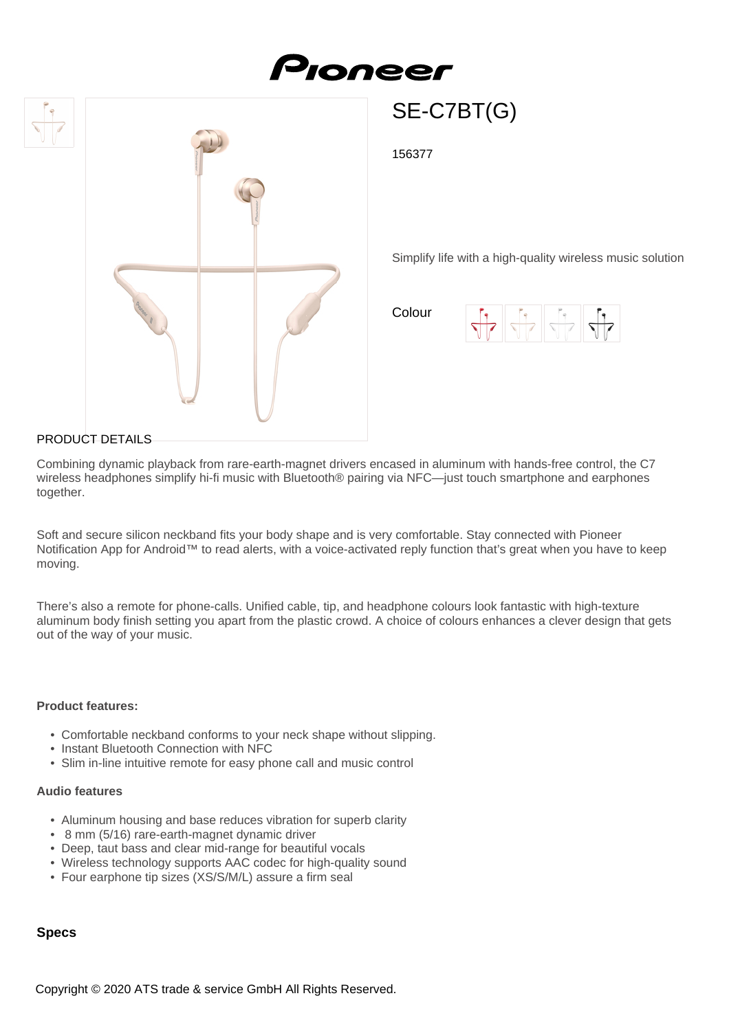# Pioneer





SE-C7BT(G)

156377

Simplify life with a high-quality wireless music solution

Colour



#### PRODUCT DETAILS

Combining dynamic playback from rare-earth-magnet drivers encased in aluminum with hands-free control, the C7 wireless headphones simplify hi-fi music with Bluetooth® pairing via NFC—just touch smartphone and earphones together.

Soft and secure silicon neckband fits your body shape and is very comfortable. Stay connected with Pioneer Notification App for Android™ to read alerts, with a voice-activated reply function that's great when you have to keep moving.

There's also a remote for phone-calls. Unified cable, tip, and headphone colours look fantastic with high-texture aluminum body finish setting you apart from the plastic crowd. A choice of colours enhances a clever design that gets out of the way of your music.

#### **Product features:**

- Comfortable neckband conforms to your neck shape without slipping.
- Instant Bluetooth Connection with NFC
- Slim in-line intuitive remote for easy phone call and music control

#### **Audio features**

- Aluminum housing and base reduces vibration for superb clarity
- 8 mm (5/16) rare-earth-magnet dynamic driver
- Deep, taut bass and clear mid-range for beautiful vocals
- Wireless technology supports AAC codec for high-quality sound
- Four earphone tip sizes (XS/S/M/L) assure a firm seal

#### **Specs**

Copyright © 2020 ATS trade & service GmbH All Rights Reserved.